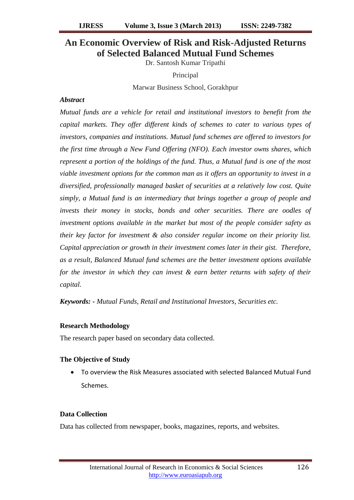# **An Economic Overview of Risk and Risk-Adjusted Returns of Selected Balanced Mutual Fund Schemes**

Dr. Santosh Kumar Tripathi

Principal

Marwar Business School, Gorakhpur

## *Abstract*

*Mutual funds are a vehicle for retail and institutional investors to benefit from the capital markets. They offer different kinds of schemes to cater to various types of investors, companies and institutions. Mutual fund schemes are offered to investors for the first time through a New Fund Offering (NFO). Each investor owns shares, which represent a portion of the holdings of the fund. Thus, a Mutual fund is one of the most viable investment options for the common man as it offers an opportunity to invest in a diversified, professionally managed basket of securities at a relatively low cost. Quite simply, a Mutual fund is an intermediary that brings together a group of people and invests their money in stocks, bonds and other securities. There are oodles of investment options available in the market but most of the people consider safety as their key factor for investment & also consider regular income on their priority list. Capital appreciation or growth in their investment comes later in their gist. Therefore, as a result, Balanced Mutual fund schemes are the better investment options available for the investor in which they can invest & earn better returns with safety of their capital.* 

*Keywords: - Mutual Funds, Retail and Institutional Investors, Securities etc.*

## **Research Methodology**

The research paper based on secondary data collected.

## **The Objective of Study**

 To overview the Risk Measures associated with selected Balanced Mutual Fund Schemes.

## **Data Collection**

Data has collected from newspaper, books, magazines, reports, and websites.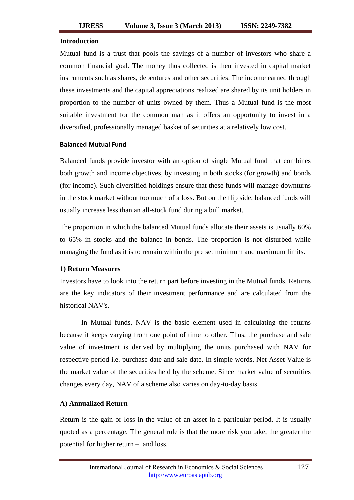### **Introduction**

Mutual fund is a trust that pools the savings of a number of investors who share a common financial goal. The money thus collected is then invested in capital market instruments such as shares, debentures and other securities. The income earned through these investments and the capital appreciations realized are shared by its unit holders in proportion to the number of units owned by them. Thus a Mutual fund is the most suitable investment for the common man as it offers an opportunity to invest in a diversified, professionally managed basket of securities at a relatively low cost.

### **Balanced Mutual Fund**

Balanced funds provide investor with an option of single Mutual fund that combines both growth and income objectives, by investing in both stocks (for growth) and bonds (for income). Such diversified holdings ensure that these funds will manage downturns in the stock market without too much of a loss. But on the flip side, balanced funds will usually increase less than an all-stock fund during a bull market.

The proportion in which the balanced Mutual funds allocate their assets is usually 60% to 65% in stocks and the balance in bonds. The proportion is not disturbed while managing the fund as it is to remain within the pre set minimum and maximum limits.

### **1) Return Measures**

Investors have to look into the return part before investing in the Mutual funds. Returns are the key indicators of their investment performance and are calculated from the historical NAV's.

In Mutual funds, NAV is the basic element used in calculating the returns because it keeps varying from one point of time to other. Thus, the purchase and sale value of investment is derived by multiplying the units purchased with NAV for respective period i.e. purchase date and sale date. In simple words, Net Asset Value is the market value of the securities held by the scheme. Since market value of securities changes every day, NAV of a scheme also varies on day-to-day basis.

### **A) Annualized Return**

Return is the gain or loss in the value of an asset in a particular period. It is usually quoted as a percentage. The general rule is that the more risk you take, the greater the potential for higher return – and loss.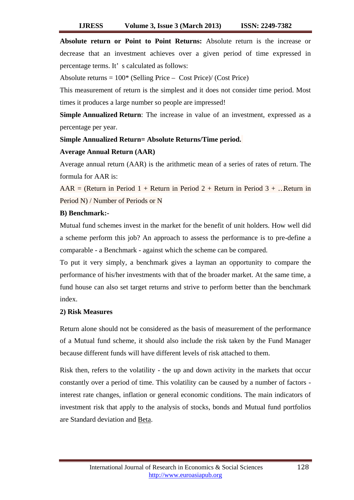**Absolute return or Point to Point Returns:** Absolute return is the increase or decrease that an investment achieves over a given period of time expressed in percentage terms. It' s calculated as follows:

Absolute returns =  $100^*$  (Selling Price – Cost Price)/ (Cost Price)

This measurement of return is the simplest and it does not consider time period. Most times it produces a large number so people are impressed!

**Simple Annualized Return**: The increase in value of an investment, expressed as a percentage per year.

## **Simple Annualized Return= Absolute Returns/Time period.**

### **Average Annual Return (AAR)**

Average annual return (AAR) is the arithmetic mean of a series of rates of return. The formula for AAR is:

 $AAR = (Return in Period 1 + Return in Period 2 + Return in Period 3 + ... Return in$ Period N) / Number of Periods or N

### **B) Benchmark:-**

Mutual fund schemes invest in the market for the benefit of unit holders. How well did a scheme perform this job? An approach to assess the performance is to pre-define a comparable - a Benchmark - against which the scheme can be compared.

To put it very simply, a benchmark gives a layman an opportunity to compare the performance of his/her investments with that of the broader market. At the same time, a fund house can also set target returns and strive to perform better than the benchmark index.

### **2) Risk Measures**

Return alone should not be considered as the basis of measurement of the performance of a Mutual fund scheme, it should also include the risk taken by the Fund Manager because different funds will have different levels of risk attached to them.

Risk then, refers to the volatility - the up and down activity in the markets that occur constantly over a period of time. This volatility can be caused by a number of factors interest rate changes, inflation or general economic conditions. The main indicators of investment risk that apply to the analysis of stocks, bonds and Mutual fund portfolios are Standard deviation and [Beta.](http://www.investopedia.com/terms/b/beta.asp)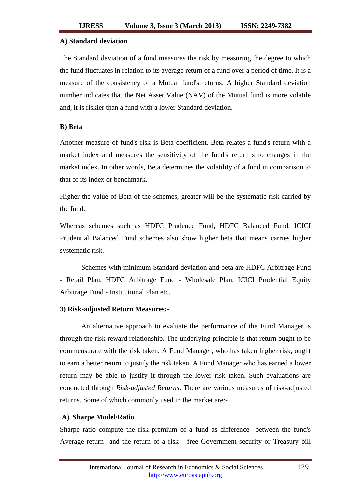### **A) Standard deviation**

The Standard deviation of a fund measures the risk by measuring the degree to which the fund fluctuates in relation to its average return of a fund over a period of time. It is a measure of the consistency of a Mutual fund's returns. A higher Standard deviation number indicates that the Net Asset Value (NAV) of the Mutual fund is more volatile and, it is riskier than a fund with a lower Standard deviation.

### **B) Beta**

Another measure of fund's risk is Beta coefficient. Beta relates a fund's return with a market index and measures the sensitivity of the fund's return s to changes in the market index. In other words, Beta determines the volatility of a fund in comparison to that of its index or benchmark.

Higher the value of Beta of the schemes, greater will be the systematic risk carried by the fund.

Whereas schemes such as [HDFC Prudence Fund,](http://www.valueresearchonline.com/funds/newsnapshot.asp?schemecode=8572) HDFC Balanced Fund, ICICI Prudential Balanced Fund schemes also show higher beta that means carries higher systematic risk*.*

Schemes with minimum Standard deviation and beta are HDFC Arbitrage Fund - Retail Plan, HDFC Arbitrage Fund - Wholesale Plan, ICICI Prudential Equity Arbitrage Fund - Institutional Plan etc.

### **3) Risk-adjusted Return Measures:-**

An alternative approach to evaluate the performance of the Fund Manager is through the risk reward relationship. The underlying principle is that return ought to be commensurate with the risk taken. A Fund Manager, who has taken higher risk, ought to earn a better return to justify the risk taken. A Fund Manager who has earned a lower return may be able to justify it through the lower risk taken. Such evaluations are conducted through *Risk-adjusted Returns*. There are various measures of risk-adjusted returns. Some of which commonly used in the market are:-

### **A) Sharpe Model/Ratio**

Sharpe ratio compute the risk premium of a fund as difference between the fund's Average return and the return of a risk – free Government security or Treasury bill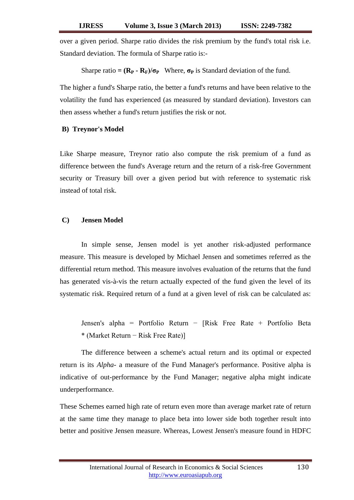over a given period. Sharpe ratio divides the risk premium by the fund's total risk i.e. Standard deviation. The formula of Sharpe ratio is:-

Sharpe ratio =  $(\mathbf{R}_P \cdot \mathbf{R}_F)/\sigma_P$  Where,  $\sigma_P$  is Standard deviation of the fund.

The higher a fund's Sharpe ratio, the better a fund's returns and have been relative to the volatility the fund has experienced (as measured by standard deviation). Investors can then assess whether a fund's return justifies the risk or not.

## **B) Treynor's Model**

Like Sharpe measure, Treynor ratio also compute the risk premium of a fund as difference between the fund's Average return and the return of a risk-free Government security or Treasury bill over a given period but with reference to systematic risk instead of total risk.

### **C) Jensen Model**

In simple sense, Jensen model is yet another risk-adjusted performance measure. This measure is developed by Michael Jensen and sometimes referred as the differential return method. This measure involves evaluation of the returns that the fund has generated vis-à-vis the return actually expected of the fund given the level of its systematic risk. Required return of a fund at a given level of risk can be calculated as:

Jensen's alpha = Portfolio Return − [Risk Free Rate + Portfolio Beta \* (Market Return − Risk Free Rate)]

The difference between a scheme's actual return and its optimal or expected return is its *Alpha-* a measure of the Fund Manager's performance. Positive alpha is indicative of out-performance by the Fund Manager; negative alpha might indicate underperformance.

These Schemes earned high rate of return even more than average market rate of return at the same time they manage to place beta into lower side both together result into better and positive Jensen measure. Whereas, Lowest Jensen's measure found in HDFC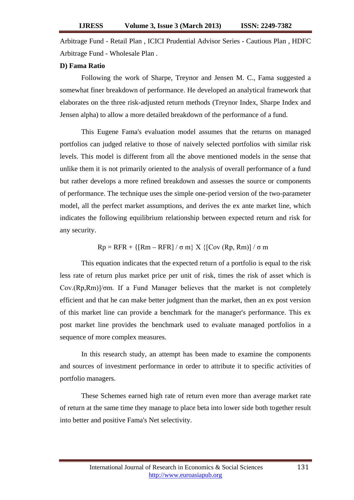Arbitrage Fund - Retail Plan , ICICI Prudential Advisor Series - Cautious Plan , HDFC Arbitrage Fund - Wholesale Plan .

### **D) Fama Ratio**

Following the work of Sharpe, Treynor and Jensen M. C., Fama suggested a somewhat finer breakdown of performance. He developed an analytical framework that elaborates on the three risk-adjusted return methods (Treynor Index, Sharpe Index and Jensen alpha) to allow a more detailed breakdown of the performance of a fund.

This Eugene Fama's evaluation model assumes that the returns on managed portfolios can judged relative to those of naively selected portfolios with similar risk levels. This model is different from all the above mentioned models in the sense that unlike them it is not primarily oriented to the analysis of overall performance of a fund but rather develops a more refined breakdown and assesses the source or components of performance. The technique uses the simple one-period version of the two-parameter model, all the perfect market assumptions, and derives the ex ante market line, which indicates the following equilibrium relationship between expected return and risk for any security.

 $Rp = RFR + \{[Rm - RFR] / \sigma m\} X \{[Cov (Rp, Rm)] / \sigma m\}$ 

This equation indicates that the expected return of a portfolio is equal to the risk less rate of return plus market price per unit of risk, times the risk of asset which is Cov.(Rp,Rm)]/σm. If a Fund Manager believes that the market is not completely efficient and that he can make better judgment than the market, then an ex post version of this market line can provide a benchmark for the manager's performance. This ex post market line provides the benchmark used to evaluate managed portfolios in a sequence of more complex measures.

In this research study, an attempt has been made to examine the components and sources of investment performance in order to attribute it to specific activities of portfolio managers.

These Schemes earned high rate of return even more than average market rate of return at the same time they manage to place beta into lower side both together result into better and positive Fama's Net selectivity.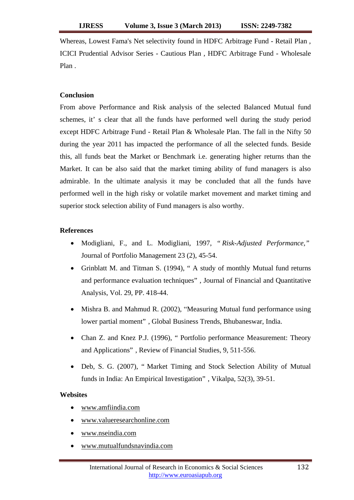Whereas, Lowest Fama's Net selectivity found in HDFC Arbitrage Fund - Retail Plan , ICICI Prudential Advisor Series - Cautious Plan , HDFC Arbitrage Fund - Wholesale Plan .

## **Conclusion**

From above Performance and Risk analysis of the selected Balanced Mutual fund schemes, it' s clear that all the funds have performed well during the study period except HDFC Arbitrage Fund - Retail Plan & Wholesale Plan. The fall in the Nifty 50 during the year 2011 has impacted the performance of all the selected funds. Beside this, all funds beat the Market or Benchmark i.e. generating higher returns than the Market. It can be also said that the market timing ability of fund managers is also admirable. In the ultimate analysis it may be concluded that all the funds have performed well in the high risky or volatile market movement and market timing and superior stock selection ability of Fund managers is also worthy.

## **References**

- Modigliani, F., and L. Modigliani, 1997, *" Risk-Adjusted Performance,"*  Journal of Portfolio Management 23 (2), 45-54.
- Grinblatt M. and Titman S. (1994), " A study of monthly Mutual fund returns and performance evaluation techniques" , Journal of Financial and Quantitative Analysis, Vol. 29, PP. 418-44.
- Mishra B. and Mahmud R. (2002), "Measuring Mutual fund performance using lower partial moment" , Global Business Trends, Bhubaneswar, India.
- Chan Z. and Knez P.J. (1996), " Portfolio performance Measurement: Theory and Applications" , Review of Financial Studies, 9, 511-556.
- Deb, S. G. (2007), " Market Timing and Stock Selection Ability of Mutual funds in India: An Empirical Investigation" , Vikalpa, 52(3), 39-51.

## **Websites**

- [www.amfiindia.com](http://www.amfiindia.com/)
- [www.valueresearchonline.com](http://www.valueresearchonline.com/)
- [www.nseindia.com](http://www.nseindia.com/)
- [www.mutualfundsnavindia.com](http://www.mutualfundsnavindia.com/)